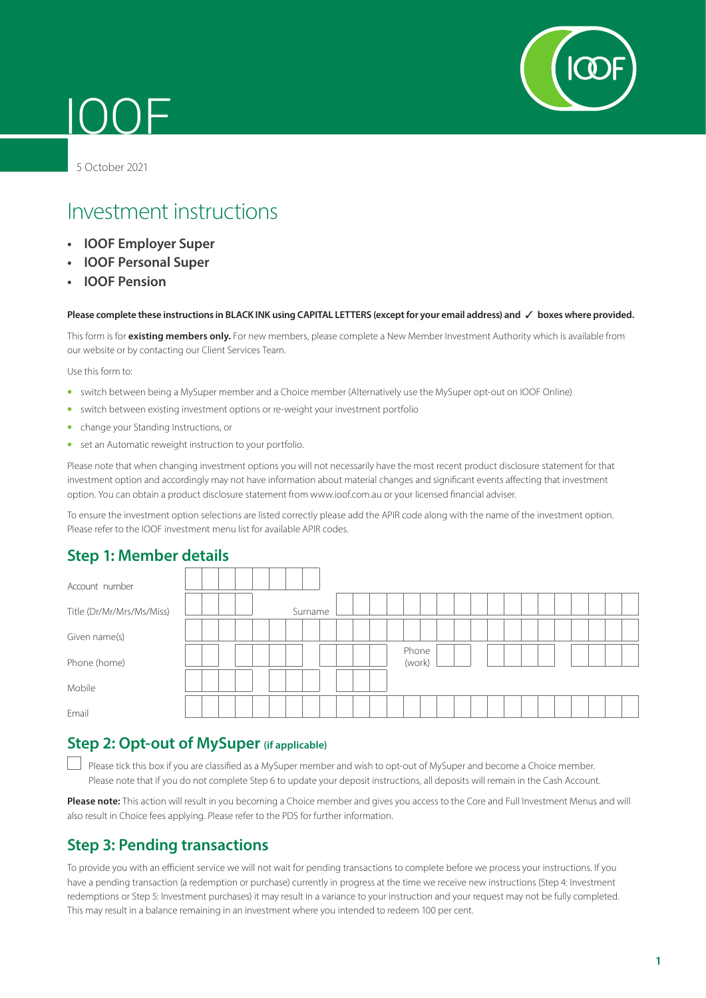

# 5 October 2021

IOOF

# Investment instructions

- **• IOOF Employer Super**
- **• IOOF Personal Super**
- **• IOOF Pension**

#### **Please complete these instructions in BLACK INK using CAPITAL LETTERS (except for your email address) and** 3 **boxes where provided.**

This form is for **existing members only.** For new members, please complete a New Member Investment Authority which is available from our website or by contacting our Client Services Team.

Use this form to:

- switch between being a MySuper member and a Choice member (Alternatively use the MySuper opt-out on IOOF Online)
- switch between existing investment options or re-weight your investment portfolio
- change your Standing Instructions, or
- set an Automatic reweight instruction to your portfolio.

Please note that when changing investment options you will not necessarily have the most recent product disclosure statement for that investment option and accordingly may not have information about material changes and significant events affecting that investment option. You can obtain a product disclosure statement from www.ioof.com.au or your licensed financial adviser.

To ensure the investment option selections are listed correctly please add the APIR code along with the name of the investment option. Please refer to the IOOF investment menu list for available APIR codes.

## **Step 1: Member details**

| Account number            |         |                 |  |
|---------------------------|---------|-----------------|--|
| Title (Dr/Mr/Mrs/Ms/Miss) | Surname |                 |  |
| Given name(s)             |         |                 |  |
| Phone (home)              |         | Phone<br>(work) |  |
| Mobile                    |         |                 |  |
| Email                     |         |                 |  |

# **Step 2: Opt-out of MySuper (if applicable)**

Please tick this box if you are classified as a MySuper member and wish to opt-out of MySuper and become a Choice member. Please note that if you do not complete Step 6 to update your deposit instructions, all deposits will remain in the Cash Account.

**Please note:** This action will result in you becoming a Choice member and gives you access to the Core and Full Investment Menus and will also result in Choice fees applying. Please refer to the PDS for further information.

## **Step 3: Pending transactions**

To provide you with an efficient service we will not wait for pending transactions to complete before we process your instructions. If you have a pending transaction (a redemption or purchase) currently in progress at the time we receive new instructions (Step 4: Investment redemptions or Step 5: Investment purchases) it may result in a variance to your instruction and your request may not be fully completed. This may result in a balance remaining in an investment where you intended to redeem 100 per cent.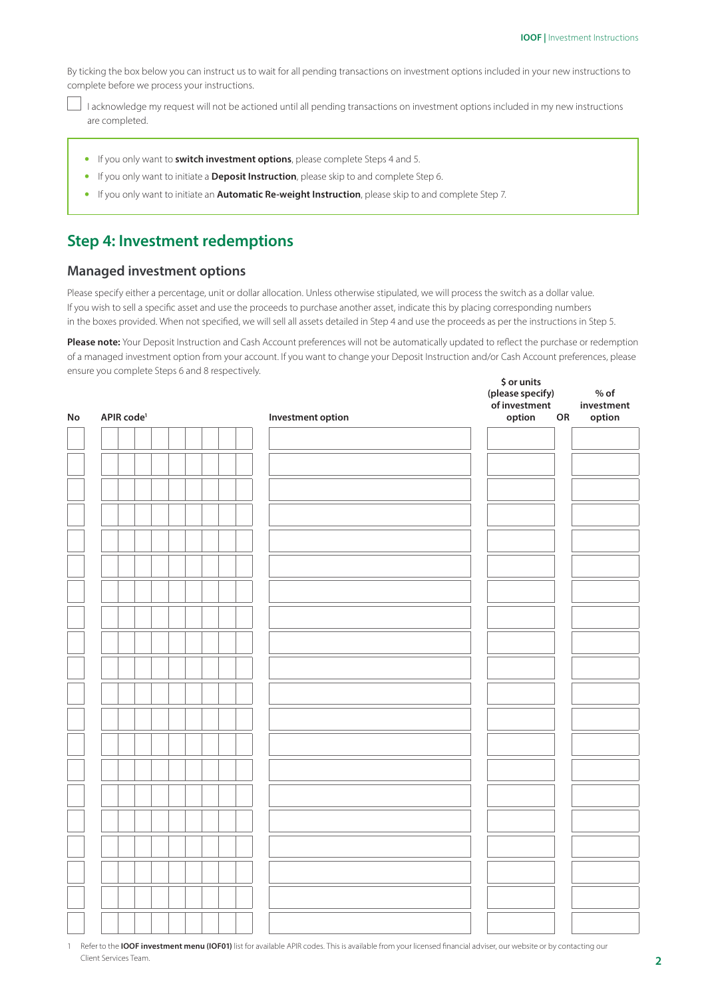By ticking the box below you can instruct us to wait for all pending transactions on investment options included in your new instructions to complete before we process your instructions.

 I acknowledge my request will not be actioned until all pending transactions on investment options included in my new instructions are completed.

- If you only want to **switch investment options**, please complete Steps 4 and 5.
- If you only want to initiate a **Deposit Instruction**, please skip to and complete Step 6.
- If you only want to initiate an **Automatic Re-weight Instruction**, please skip to and complete Step 7.

## **Step 4: Investment redemptions**

#### **Managed investment options**

Please specify either a percentage, unit or dollar allocation. Unless otherwise stipulated, we will process the switch as a dollar value. If you wish to sell a specific asset and use the proceeds to purchase another asset, indicate this by placing corresponding numbers in the boxes provided. When not specified, we will sell all assets detailed in Step 4 and use the proceeds as per the instructions in Step 5.

**Please note:** Your Deposit Instruction and Cash Account preferences will not be automatically updated to reflect the purchase or redemption of a managed investment option from your account. If you want to change your Deposit Instruction and/or Cash Account preferences, please ensure you complete Steps 6 and 8 respectively. **\$ or units** 

| ${\sf No}$ | APIR code <sup>1</sup> | Investment option | (please specify)<br>of investment<br>option<br>${\sf OR}$ | $%$ of<br>investment<br>option |
|------------|------------------------|-------------------|-----------------------------------------------------------|--------------------------------|
|            |                        |                   |                                                           |                                |
|            |                        |                   |                                                           |                                |
|            |                        |                   |                                                           |                                |
|            |                        |                   |                                                           |                                |
|            |                        |                   |                                                           |                                |
|            |                        |                   |                                                           |                                |
|            |                        |                   |                                                           |                                |
|            |                        |                   |                                                           |                                |
|            |                        |                   |                                                           |                                |
|            |                        |                   |                                                           |                                |
|            |                        |                   |                                                           |                                |
|            |                        |                   |                                                           |                                |
|            |                        |                   |                                                           |                                |
|            |                        |                   |                                                           |                                |
|            |                        |                   |                                                           |                                |
|            |                        |                   |                                                           |                                |
|            |                        |                   |                                                           |                                |
|            |                        |                   |                                                           |                                |
|            |                        |                   |                                                           |                                |
|            |                        |                   |                                                           |                                |
|            |                        |                   |                                                           |                                |
|            |                        |                   |                                                           |                                |
|            |                        |                   |                                                           |                                |

1 Refer to the **IOOF investment menu (IOF01)** list for available APIR codes. This is available from your licensed financial adviser, our website or by contacting our Client Services Team.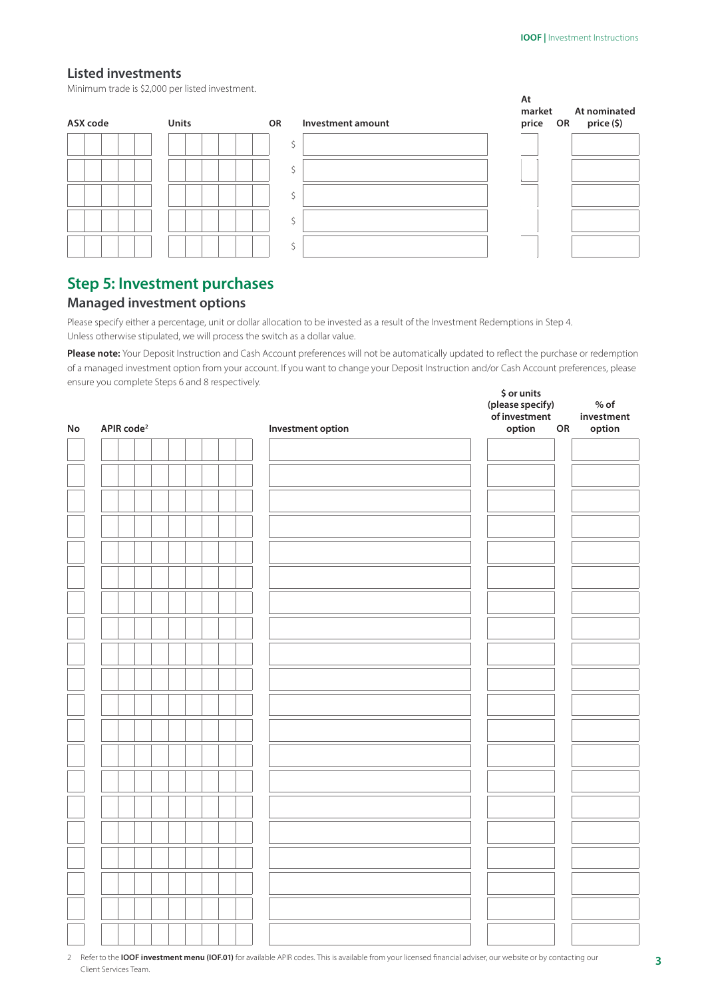## **Listed investments**

Minimum trade is \$2,000 per listed investment.



# **Step 5: Investment purchases**

## **Managed investment options**

Please specify either a percentage, unit or dollar allocation to be invested as a result of the Investment Redemptions in Step 4. Unless otherwise stipulated, we will process the switch as a dollar value.

**Please note:** Your Deposit Instruction and Cash Account preferences will not be automatically updated to reflect the purchase or redemption of a managed investment option from your account. If you want to change your Deposit Instruction and/or Cash Account preferences, please ensure you complete Steps 6 and 8 respectively. **\$ or units** 

|            |                        |                          | (please specify)<br>of investment | $%$ of<br>investment |
|------------|------------------------|--------------------------|-----------------------------------|----------------------|
| ${\sf No}$ | APIR code <sup>2</sup> | <b>Investment option</b> | option<br>${\sf OR}$              | option               |
|            |                        |                          |                                   |                      |
|            |                        |                          |                                   |                      |
|            |                        |                          |                                   |                      |
|            |                        |                          |                                   |                      |
|            |                        |                          |                                   |                      |
|            |                        |                          |                                   |                      |
|            |                        |                          |                                   |                      |
|            |                        |                          |                                   |                      |
|            |                        |                          |                                   |                      |
|            |                        |                          |                                   |                      |
|            |                        |                          |                                   |                      |
|            |                        |                          |                                   |                      |
|            |                        |                          |                                   |                      |
|            |                        |                          |                                   |                      |
|            |                        |                          |                                   |                      |
|            |                        |                          |                                   |                      |
|            |                        |                          |                                   |                      |
|            |                        |                          |                                   |                      |
|            |                        |                          |                                   |                      |
|            |                        |                          |                                   |                      |
|            |                        |                          |                                   |                      |
|            |                        |                          |                                   |                      |
|            |                        |                          |                                   |                      |
|            |                        |                          |                                   |                      |
|            |                        |                          |                                   |                      |
|            |                        |                          |                                   |                      |
|            |                        |                          |                                   |                      |

2 Refer to the **IOOF investment menu (IOF.01)** for available APIR codes. This is available from your licensed financial adviser, our website or by contacting our Client Services Team.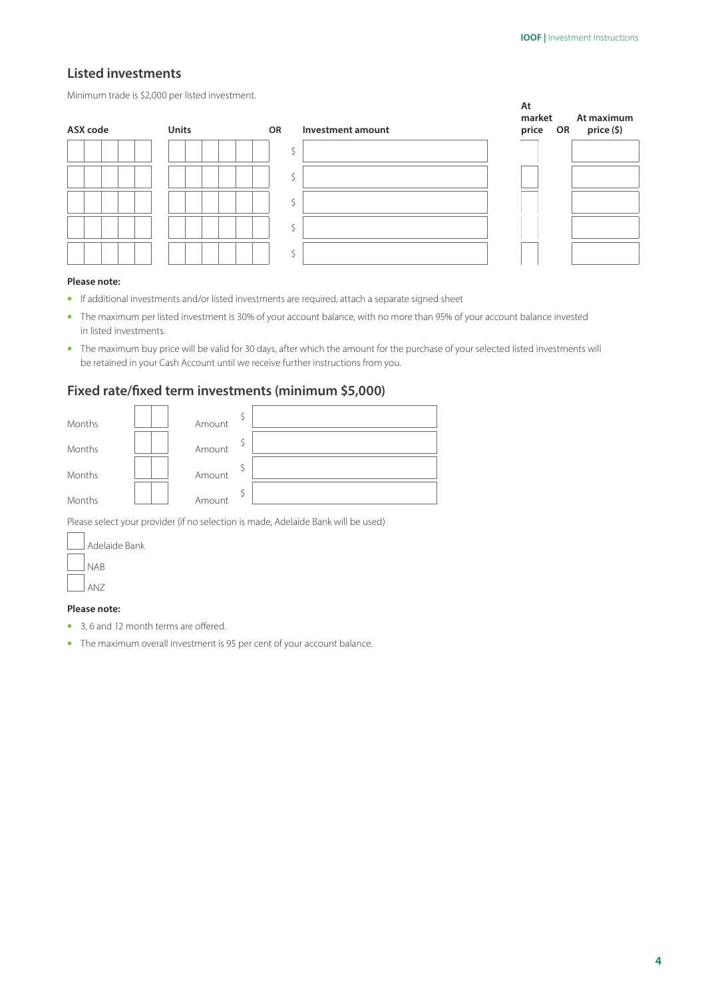## **Listed investments**

Minimum trade is \$2,000 per listed investment.



#### **Please note:**

- If additional investments and/or listed investments are required, attach a separate signed sheet
- The maximum per listed investment is 30% of your account balance, with no more than 95% of your account balance invested in listed investments.
- The maximum buy price will be valid for 30 days, after which the amount for the purchase of your selected listed investments will be retained in your Cash Account until we receive further instructions from you.

## **Fixed rate/fixed term investments (minimum \$5,000)**

| Months | Amount |  |
|--------|--------|--|
|        |        |  |
| Months | Amount |  |
| Months | Amount |  |
| Months | Amount |  |
|        |        |  |

Please select your provider (if no selection is made, Adelaide Bank will be used)

| Adelaide Bank |
|---------------|
| NAR           |
| AN7           |

#### **Please note:**

 $\overline{1}$ 

- 3, 6 and 12 month terms are offered.
- The maximum overall investment is 95 per cent of your account balance.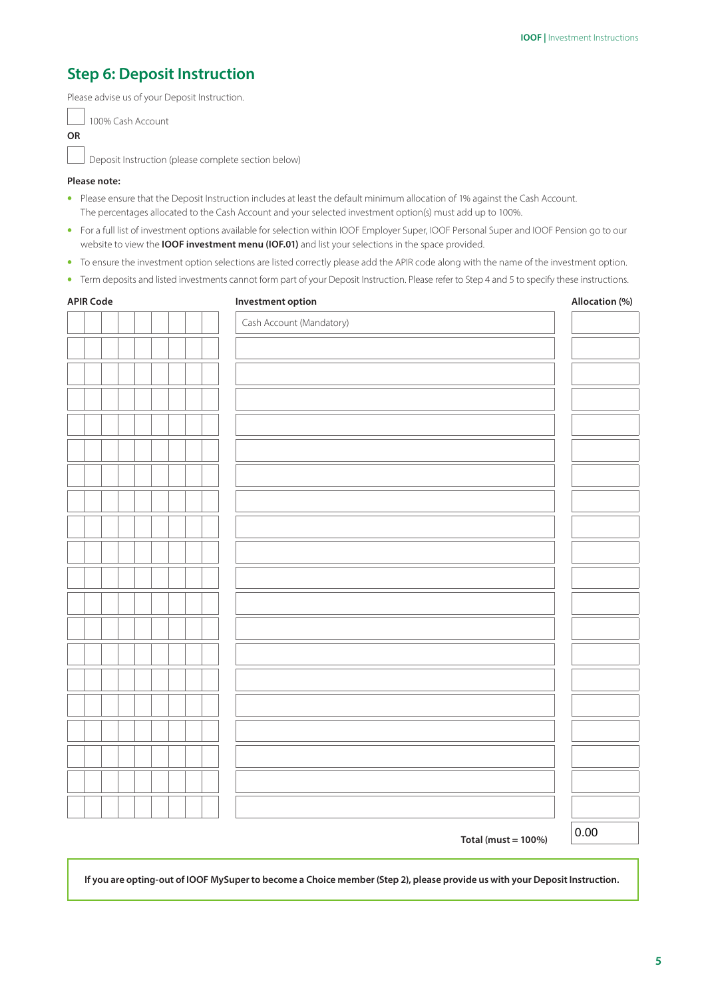# **Step 6: Deposit Instruction**

Please advise us of your Deposit Instruction.

100% Cash Account

Deposit Instruction (please complete section below)

#### **Please note:**

- Please ensure that the Deposit Instruction includes at least the default minimum allocation of 1% against the Cash Account. The percentages allocated to the Cash Account and your selected investment option(s) must add up to 100%.
- For a full list of investment options available for selection within IOOF Employer Super, IOOF Personal Super and IOOF Pension go to our website to view the **IOOF investment menu (IOF.01)** and list your selections in the space provided.
- To ensure the investment option selections are listed correctly please add the APIR code along with the name of the investment option.
- Term deposits and listed investments cannot form part of your Deposit Instruction. Please refer to Step 4 and 5 to specify these instructions.

| <b>APIR Code</b> | Investment option        | Allocation (%) |  |
|------------------|--------------------------|----------------|--|
|                  | Cash Account (Mandatory) |                |  |
|                  |                          |                |  |
|                  |                          |                |  |
|                  |                          |                |  |
|                  |                          |                |  |
|                  |                          |                |  |
|                  |                          |                |  |
|                  |                          |                |  |
|                  |                          |                |  |
|                  |                          |                |  |
|                  |                          |                |  |
|                  |                          |                |  |
|                  |                          |                |  |
|                  |                          |                |  |
|                  |                          |                |  |
|                  |                          |                |  |
|                  |                          |                |  |
|                  |                          |                |  |
|                  |                          |                |  |
|                  |                          |                |  |
|                  |                          |                |  |
|                  |                          |                |  |
|                  |                          | 0.00           |  |

**Total (must = 100%)**

 $\vert 0.00$ 

**If you are opting-out of IOOF MySuper to become a Choice member (Step 2), please provide us with your Deposit Instruction.**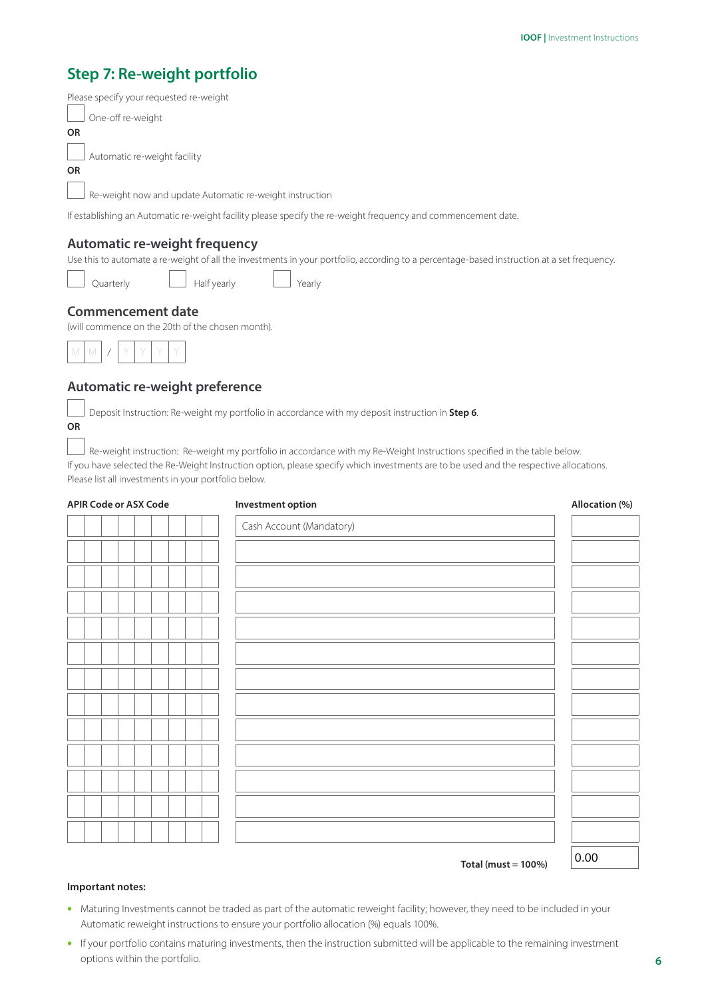# **Step 7: Re-weight portfolio**

| Please specify your requested re-weight                                                                       |
|---------------------------------------------------------------------------------------------------------------|
| One-off re-weight                                                                                             |
| <b>OR</b>                                                                                                     |
| Automatic re-weight facility                                                                                  |
| <b>OR</b>                                                                                                     |
| Re-weight now and update Automatic re-weight instruction                                                      |
| If establishing an Automatic re-weight facility please specify the re-weight frequency and commencement date. |
|                                                                                                               |
|                                                                                                               |

## **Automatic re-weight frequency**

Use this to automate a re-weight of all the investments in your portfolio, according to a percentage-based instruction at a set frequency.

 $r$ terly  $\Box$  Half yearly  $\Box$  Yearly

## **Commencement date**

(will commence on the 20th of the chosen month).



## **Automatic re-weight preference**

Deposit Instruction: Re-weight my portfolio in accordance with my deposit instruction in **Step 6**.

## **OR**

Re-weight instruction: Re-weight my portfolio in accordance with my Re-Weight Instructions specified in the table below. If you have selected the Re-Weight Instruction option, please specify which investments are to be used and the respective allocations. Please list all investments in your portfolio below.

| <b>APIR Code or ASX Code</b> | Investment option        | Allocation (%) |
|------------------------------|--------------------------|----------------|
|                              | Cash Account (Mandatory) |                |
|                              |                          |                |
|                              |                          |                |
|                              |                          |                |
|                              |                          |                |
|                              |                          |                |
|                              |                          |                |
|                              |                          |                |
|                              |                          |                |
|                              |                          |                |
|                              |                          |                |
|                              |                          |                |
|                              |                          |                |
|                              |                          | $\sim$ $\sim$  |

**Total (must = 100%)**

# 0.00

#### **Important notes:**

- Maturing Investments cannot be traded as part of the automatic reweight facility; however, they need to be included in your Automatic reweight instructions to ensure your portfolio allocation (%) equals 100%.
- If your portfolio contains maturing investments, then the instruction submitted will be applicable to the remaining investment options within the portfolio.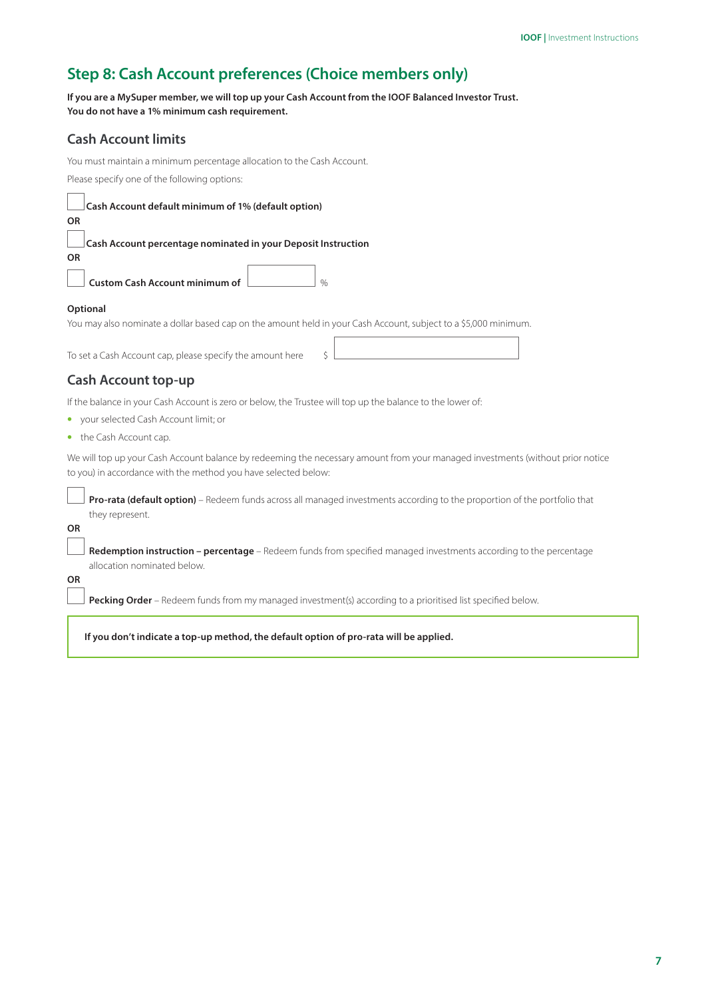# **Step 8: Cash Account preferences (Choice members only)**

**If you are a MySuper member, we will top up your Cash Account from the IOOF Balanced Investor Trust. You do not have a 1% minimum cash requirement.**

## **Cash Account limits**

You must maintain a minimum percentage allocation to the Cash Account. Please specify one of the following options:

| Cash Account default minimum of 1% (default option) |  |
|-----------------------------------------------------|--|
|-----------------------------------------------------|--|

**Cash Account percentage nominated in your Deposit Instruction**

**Custom Cash Account minimum of** %

#### **Optional**

**OR**

**OR**

You may also nominate a dollar based cap on the amount held in your Cash Account, subject to a \$5,000 minimum.

To set a Cash Account cap, please specify the amount here \$

# **Cash Account top-up**

If the balance in your Cash Account is zero or below, the Trustee will top up the balance to the lower of:

- your selected Cash Account limit; or
- the Cash Account cap.

We will top up your Cash Account balance by redeeming the necessary amount from your managed investments (without prior notice to you) in accordance with the method you have selected below:

 **Pro-rata (default option)** – Redeem funds across all managed investments according to the proportion of the portfolio that they represent.

**OR**

 **Redemption instruction – percentage** – Redeem funds from specified managed investments according to the percentage allocation nominated below.

**OR**

Pecking Order – Redeem funds from my managed investment(s) according to a prioritised list specified below.

**If you don't indicate a top-up method, the default option of pro-rata will be applied.**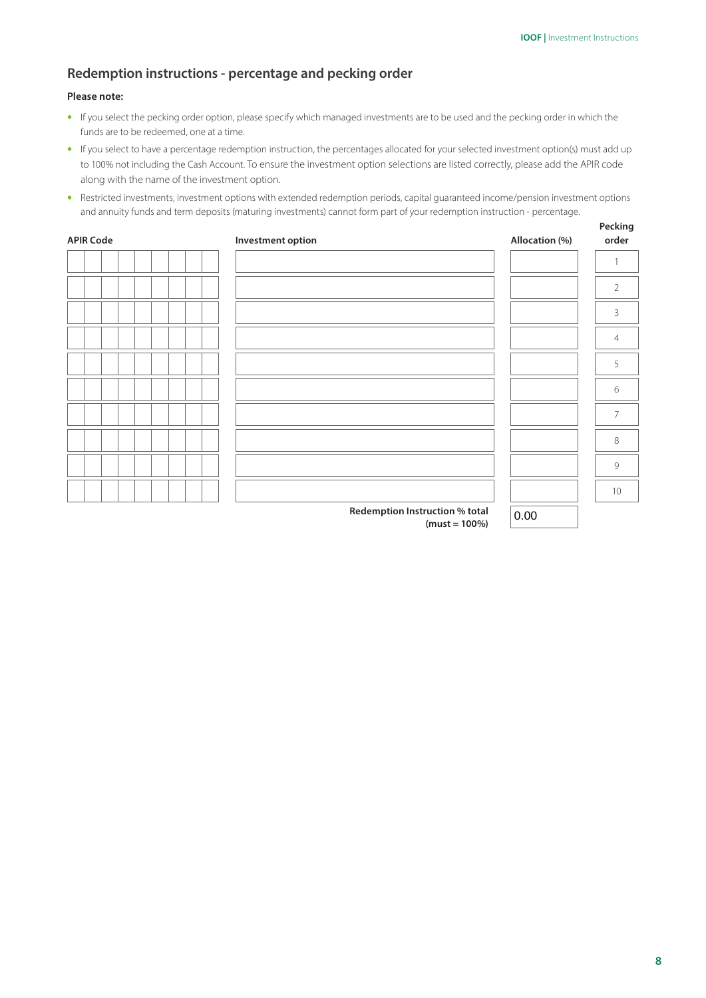**Pecking** 

## **Redemption instructions - percentage and pecking order**

#### **Please note:**

- If you select the pecking order option, please specify which managed investments are to be used and the pecking order in which the funds are to be redeemed, one at a time.
- If you select to have a percentage redemption instruction, the percentages allocated for your selected investment option(s) must add up to 100% not including the Cash Account. To ensure the investment option selections are listed correctly, please add the APIR code along with the name of the investment option.
- Restricted investments, investment options with extended redemption periods, capital guaranteed income/pension investment options and annuity funds and term deposits (maturing investments) cannot form part of your redemption instruction - percentage.

| <b>APIR Code</b> | Investment option                                  | Allocation (%) | order          |
|------------------|----------------------------------------------------|----------------|----------------|
|                  |                                                    |                |                |
|                  |                                                    |                | $\overline{2}$ |
|                  |                                                    |                | 3              |
|                  |                                                    |                | $\overline{4}$ |
|                  |                                                    |                | 5              |
|                  |                                                    |                | 6              |
|                  |                                                    |                | $\overline{7}$ |
|                  |                                                    |                | 8              |
|                  |                                                    |                | 9              |
|                  |                                                    |                | $10\,$         |
|                  | Redemption Instruction % total<br>$(must - 100\%)$ | 0.00           |                |

**(must = 100%)**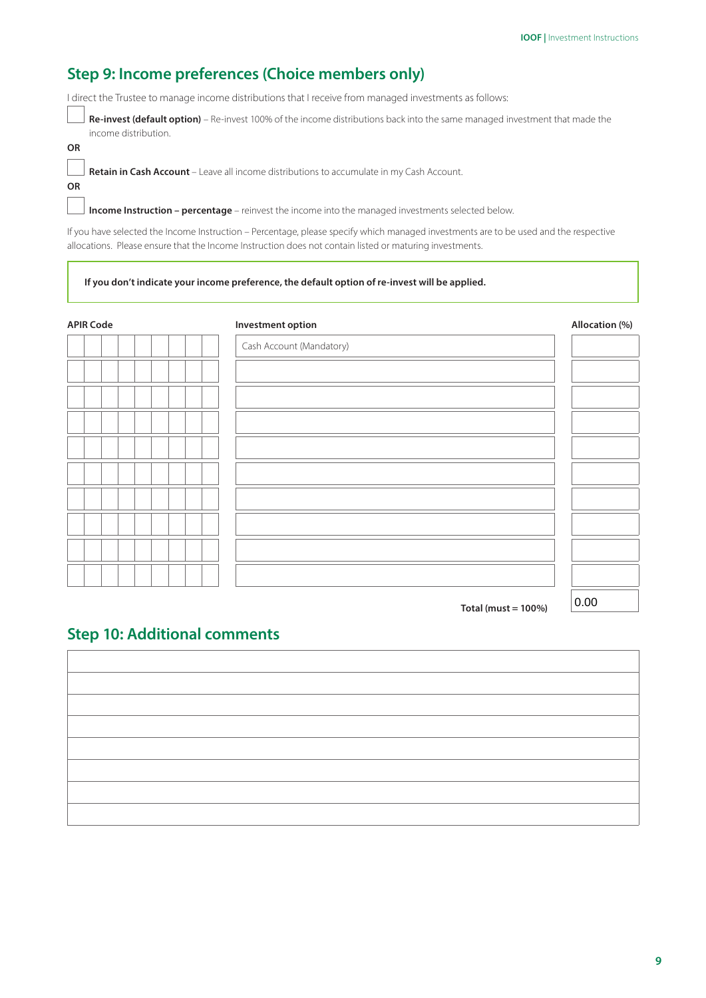# **Step 9: Income preferences (Choice members only)**

I direct the Trustee to manage income distributions that I receive from managed investments as follows:

 **Re-invest (default option)** – Re-invest 100% of the income distributions back into the same managed investment that made the income distribution.

**OR**

**OR**

**Retain in Cash Account** – Leave all income distributions to accumulate in my Cash Account.

**Income Instruction – percentage** – reinvest the income into the managed investments selected below.

If you have selected the Income Instruction – Percentage, please specify which managed investments are to be used and the respective allocations. Please ensure that the Income Instruction does not contain listed or maturing investments.

#### **If you don't indicate your income preference, the default option of re-invest will be applied.**

| <b>APIR Code</b> | Investment option        | Allocation (%) |
|------------------|--------------------------|----------------|
|                  | Cash Account (Mandatory) |                |
|                  |                          |                |
|                  |                          |                |
|                  |                          |                |
|                  |                          |                |
|                  |                          |                |
|                  |                          |                |
|                  |                          |                |
|                  |                          |                |
|                  |                          |                |
|                  |                          | $- - -$        |

**Total (must = 100%)**

## $|0.00|$

## **Step 10: Additional comments**